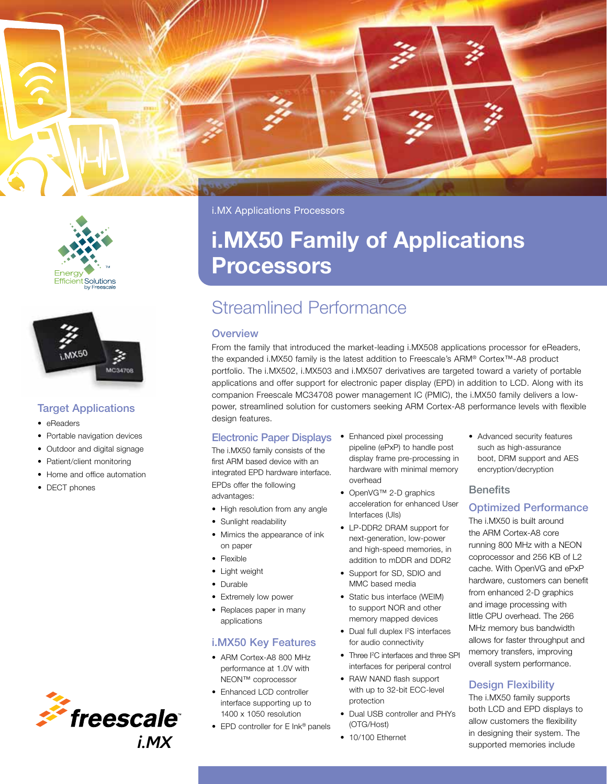



#### Target Applications

- eReaders
- Portable navigation devices
- Outdoor and digital signage
- Patient/client monitoring
- Home and office automation
- **DECT** phones



i.MX Applications Processors

# i.MX50 Family of Applications Processors

## Streamlined Performance

#### **Overview**

From the family that introduced the market-leading i.MX508 applications processor for eReaders, the expanded i.MX50 family is the latest addition to Freescale's ARM® Cortex™-A8 product portfolio. The i.MX502, i.MX503 and i.MX507 derivatives are targeted toward a variety of portable applications and offer support for electronic paper display (EPD) in addition to LCD. Along with its companion Freescale MC34708 power management IC (PMIC), the i.MX50 family delivers a lowpower, streamlined solution for customers seeking ARM Cortex-A8 performance levels with flexible design features.

#### Electronic Paper Displays

The i.MX50 family consists of the first ARM based device with an integrated EPD hardware interface. EPDs offer the following advantages:

- High resolution from any angle
- Sunlight readability
- • Mimics the appearance of ink on paper
- • Flexible
- • Light weight
- Durable
- Extremely low power
- Replaces paper in many applications

#### i.MX50 Key Features

- ARM Cortex-A8 800 MHz performance at 1.0V with NEON™ coprocessor
- Enhanced LCD controller interface supporting up to 1400 x 1050 resolution
- EPD controller for E Ink® panels
- Enhanced pixel processing pipeline (ePxP) to handle post display frame pre-processing in hardware with minimal memory overhead
- • OpenVG™ 2-D graphics acceleration for enhanced User Interfaces (UIs)
- • LP-DDR2 DRAM support for next-generation, low-power and high-speed memories, in addition to mDDR and DDR2
- Support for SD, SDIO and MMC based media
- Static bus interface (WEIM) to support NOR and other memory mapped devices
- Dual full duplex I<sup>2</sup>S interfaces for audio connectivity
- Three I<sup>2</sup>C interfaces and three SPI interfaces for periperal control
- RAW NAND flash support with up to 32-bit ECC-level protection
- Dual USB controller and PHYs (OTG/Host)
- 10/100 Ethernet

• Advanced security features such as high-assurance boot, DRM support and AES encryption/decryption

#### **Benefits**

#### Optimized Performance

The i.MX50 is built around the ARM Cortex-A8 core running 800 MHz with a NEON coprocessor and 256 KB of L2 cache. With OpenVG and ePxP hardware, customers can benefit from enhanced 2-D graphics and image processing with little CPU overhead. The 266 MHz memory bus bandwidth allows for faster throughput and memory transfers, improving overall system performance.

#### Design Flexibility

The i.MX50 family supports both LCD and EPD displays to allow customers the flexibility in designing their system. The supported memories include